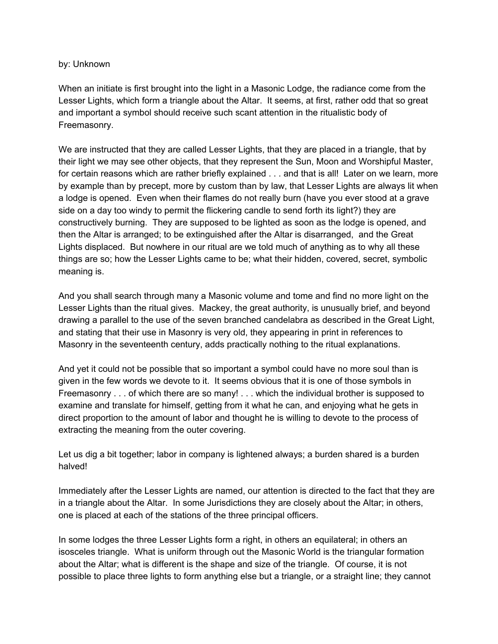## by: Unknown

When an initiate is first brought into the light in a Masonic Lodge, the radiance come from the Lesser Lights, which form a triangle about the Altar. It seems, at first, rather odd that so great and important a symbol should receive such scant attention in the ritualistic body of Freemasonry.

We are instructed that they are called Lesser Lights, that they are placed in a triangle, that by their light we may see other objects, that they represent the Sun, Moon and Worshipful Master, for certain reasons which are rather briefly explained . . . and that is all! Later on we learn, more by example than by precept, more by custom than by law, that Lesser Lights are always lit when a lodge is opened. Even when their flames do not really burn (have you ever stood at a grave side on a day too windy to permit the flickering candle to send forth its light?) they are constructively burning. They are supposed to be lighted as soon as the lodge is opened, and then the Altar is arranged; to be extinguished after the Altar is disarranged, and the Great Lights displaced. But nowhere in our ritual are we told much of anything as to why all these things are so; how the Lesser Lights came to be; what their hidden, covered, secret, symbolic meaning is.

And you shall search through many a Masonic volume and tome and find no more light on the Lesser Lights than the ritual gives. Mackey, the great authority, is unusually brief, and beyond drawing a parallel to the use of the seven branched candelabra as described in the Great Light, and stating that their use in Masonry is very old, they appearing in print in references to Masonry in the seventeenth century, adds practically nothing to the ritual explanations.

And yet it could not be possible that so important a symbol could have no more soul than is given in the few words we devote to it. It seems obvious that it is one of those symbols in Freemasonry . . . of which there are so many! . . . which the individual brother is supposed to examine and translate for himself, getting from it what he can, and enjoying what he gets in direct proportion to the amount of labor and thought he is willing to devote to the process of extracting the meaning from the outer covering.

Let us dig a bit together; labor in company is lightened always; a burden shared is a burden halved!

Immediately after the Lesser Lights are named, our attention is directed to the fact that they are in a triangle about the Altar. In some Jurisdictions they are closely about the Altar; in others, one is placed at each of the stations of the three principal officers.

In some lodges the three Lesser Lights form a right, in others an equilateral; in others an isosceles triangle. What is uniform through out the Masonic World is the triangular formation about the Altar; what is different is the shape and size of the triangle. Of course, it is not possible to place three lights to form anything else but a triangle, or a straight line; they cannot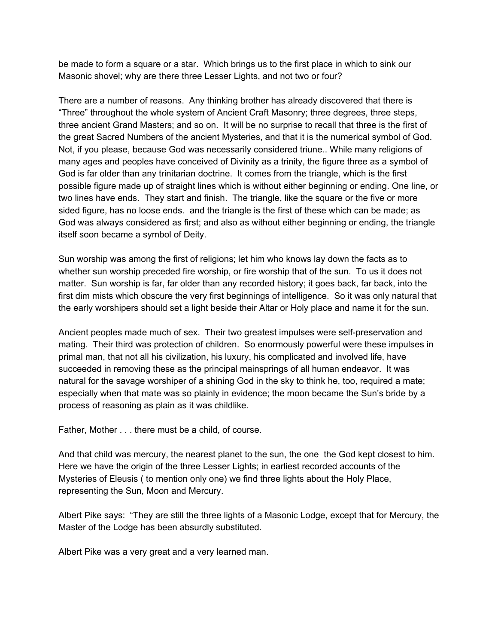be made to form a square or a star. Which brings us to the first place in which to sink our Masonic shovel; why are there three Lesser Lights, and not two or four?

There are a number of reasons. Any thinking brother has already discovered that there is "Three" throughout the whole system of Ancient Craft Masonry; three degrees, three steps, three ancient Grand Masters; and so on. It will be no surprise to recall that three is the first of the great Sacred Numbers of the ancient Mysteries, and that it is the numerical symbol of God. Not, if you please, because God was necessarily considered triune.. While many religions of many ages and peoples have conceived of Divinity as a trinity, the figure three as a symbol of God is far older than any trinitarian doctrine. It comes from the triangle, which is the first possible figure made up of straight lines which is without either beginning or ending. One line, or two lines have ends. They start and finish. The triangle, like the square or the five or more sided figure, has no loose ends. and the triangle is the first of these which can be made; as God was always considered as first; and also as without either beginning or ending, the triangle itself soon became a symbol of Deity.

Sun worship was among the first of religions; let him who knows lay down the facts as to whether sun worship preceded fire worship, or fire worship that of the sun. To us it does not matter. Sun worship is far, far older than any recorded history; it goes back, far back, into the first dim mists which obscure the very first beginnings of intelligence. So it was only natural that the early worshipers should set a light beside their Altar or Holy place and name it for the sun.

Ancient peoples made much of sex. Their two greatest impulses were self-preservation and mating. Their third was protection of children. So enormously powerful were these impulses in primal man, that not all his civilization, his luxury, his complicated and involved life, have succeeded in removing these as the principal mainsprings of all human endeavor. It was natural for the savage worshiper of a shining God in the sky to think he, too, required a mate; especially when that mate was so plainly in evidence; the moon became the Sun's bride by a process of reasoning as plain as it was childlike.

Father, Mother . . . there must be a child, of course.

And that child was mercury, the nearest planet to the sun, the one the God kept closest to him. Here we have the origin of the three Lesser Lights; in earliest recorded accounts of the Mysteries of Eleusis ( to mention only one) we find three lights about the Holy Place, representing the Sun, Moon and Mercury.

Albert Pike says: "They are still the three lights of a Masonic Lodge, except that for Mercury, the Master of the Lodge has been absurdly substituted.

Albert Pike was a very great and a very learned man.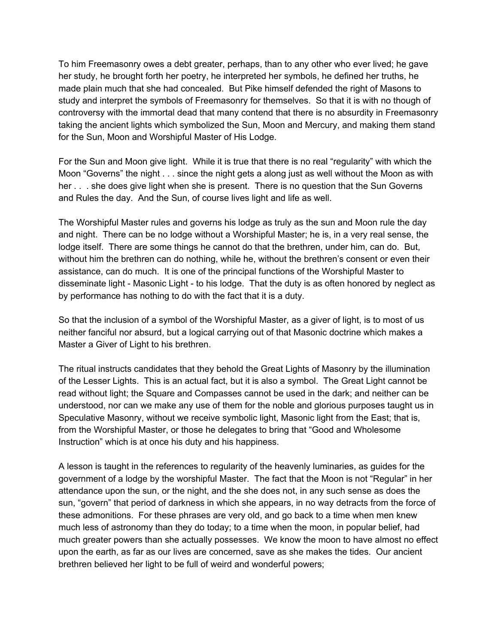To him Freemasonry owes a debt greater, perhaps, than to any other who ever lived; he gave her study, he brought forth her poetry, he interpreted her symbols, he defined her truths, he made plain much that she had concealed. But Pike himself defended the right of Masons to study and interpret the symbols of Freemasonry for themselves. So that it is with no though of controversy with the immortal dead that many contend that there is no absurdity in Freemasonry taking the ancient lights which symbolized the Sun, Moon and Mercury, and making them stand for the Sun, Moon and Worshipful Master of His Lodge.

For the Sun and Moon give light. While it is true that there is no real "regularity" with which the Moon "Governs" the night . . . since the night gets a along just as well without the Moon as with her . . . she does give light when she is present. There is no question that the Sun Governs and Rules the day. And the Sun, of course lives light and life as well.

The Worshipful Master rules and governs his lodge as truly as the sun and Moon rule the day and night. There can be no lodge without a Worshipful Master; he is, in a very real sense, the lodge itself. There are some things he cannot do that the brethren, under him, can do. But, without him the brethren can do nothing, while he, without the brethren's consent or even their assistance, can do much. It is one of the principal functions of the Worshipful Master to disseminate light - Masonic Light - to his lodge. That the duty is as often honored by neglect as by performance has nothing to do with the fact that it is a duty.

So that the inclusion of a symbol of the Worshipful Master, as a giver of light, is to most of us neither fanciful nor absurd, but a logical carrying out of that Masonic doctrine which makes a Master a Giver of Light to his brethren.

The ritual instructs candidates that they behold the Great Lights of Masonry by the illumination of the Lesser Lights. This is an actual fact, but it is also a symbol. The Great Light cannot be read without light; the Square and Compasses cannot be used in the dark; and neither can be understood, nor can we make any use of them for the noble and glorious purposes taught us in Speculative Masonry, without we receive symbolic light, Masonic light from the East; that is, from the Worshipful Master, or those he delegates to bring that "Good and Wholesome Instruction" which is at once his duty and his happiness.

A lesson is taught in the references to regularity of the heavenly luminaries, as guides for the government of a lodge by the worshipful Master. The fact that the Moon is not "Regular" in her attendance upon the sun, or the night, and the she does not, in any such sense as does the sun, "govern" that period of darkness in which she appears, in no way detracts from the force of these admonitions. For these phrases are very old, and go back to a time when men knew much less of astronomy than they do today; to a time when the moon, in popular belief, had much greater powers than she actually possesses. We know the moon to have almost no effect upon the earth, as far as our lives are concerned, save as she makes the tides. Our ancient brethren believed her light to be full of weird and wonderful powers;